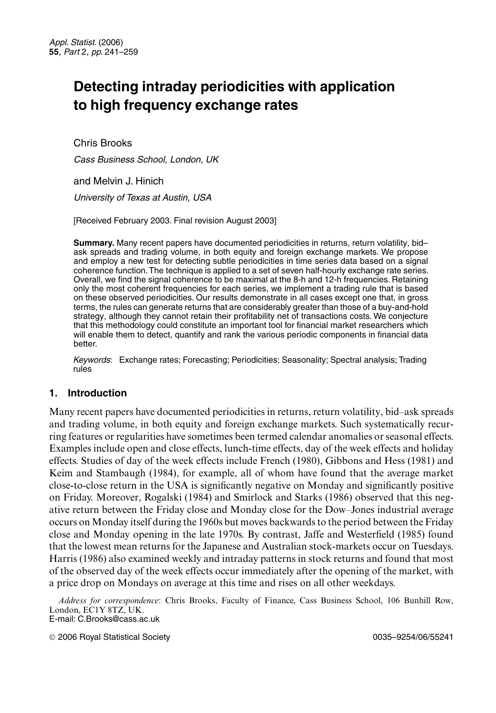# **Detecting intraday periodicities with application to high frequency exchange rates**

Chris Brooks

*Cass Business School, London, UK*

and Melvin J. Hinich

*University of Texas at Austin, USA*

[Received February 2003. Final revision August 2003]

**Summary.** Many recent papers have documented periodicities in returns, return volatility, bid– ask spreads and trading volume, in both equity and foreign exchange markets. We propose and employ a new test for detecting subtle periodicities in time series data based on a signal coherence function.The technique is applied to a set of seven half-hourly exchange rate series. Overall, we find the signal coherence to be maximal at the 8-h and 12-h frequencies. Retaining only the most coherent frequencies for each series, we implement a trading rule that is based on these observed periodicities. Our results demonstrate in all cases except one that, in gross terms, the rules can generate returns that are considerably greater than those of a buy-and-hold strategy, although they cannot retain their profitability net of transactions costs. We conjecture that this methodology could constitute an important tool for financial market researchers which will enable them to detect, quantify and rank the various periodic components in financial data better.

*Keywords*: Exchange rates; Forecasting; Periodicities; Seasonality; Spectral analysis; Trading rules

## **1. Introduction**

Many recent papers have documented periodicities in returns, return volatility, bid–ask spreads and trading volume, in both equity and foreign exchange markets. Such systematically recurring features or regularities have sometimes been termed calendar anomalies or seasonal effects. Examples include open and close effects, lunch-time effects, day of the week effects and holiday effects. Studies of day of the week effects include French (1980), Gibbons and Hess (1981) and Keim and Stambaugh (1984), for example, all of whom have found that the average market close-to-close return in the USA is significantly negative on Monday and significantly positive on Friday. Moreover, Rogalski (1984) and Smirlock and Starks (1986) observed that this negative return between the Friday close and Monday close for the Dow–Jones industrial average occurs on Monday itself during the 1960s but moves backwards to the period between the Friday close and Monday opening in the late 1970s. By contrast, Jaffe and Westerfield (1985) found that the lowest mean returns for the Japanese and Australian stock-markets occur on Tuesdays. Harris (1986) also examined weekly and intraday patterns in stock returns and found that most of the observed day of the week effects occur immediately after the opening of the market, with a price drop on Mondays on average at this time and rises on all other weekdays.

*Address for correspondence*: Chris Brooks, Faculty of Finance, Cass Business School, 106 Bunhill Row, London, EC1Y 8TZ, UK. E-mail: C.Brooks@cass.ac.uk

2006 Royal Statistical Society 0035–9254/06/55241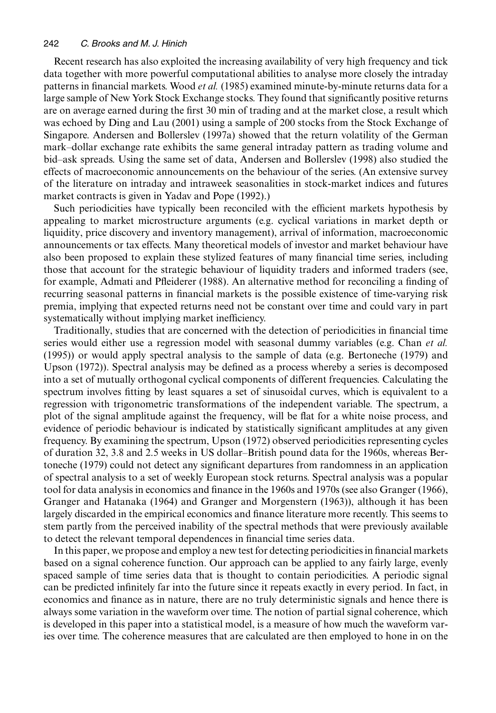#### 242 *C. Brooks and M. J. Hinich*

Recent research has also exploited the increasing availability of very high frequency and tick data together with more powerful computational abilities to analyse more closely the intraday patterns in financial markets. Wood *et al.* (1985) examined minute-by-minute returns data for a large sample of New York Stock Exchange stocks. They found that significantly positive returns are on average earned during the first 30 min of trading and at the market close, a result which was echoed by Ding and Lau (2001) using a sample of 200 stocks from the Stock Exchange of Singapore. Andersen and Bollerslev (1997a) showed that the return volatility of the German mark–dollar exchange rate exhibits the same general intraday pattern as trading volume and bid–ask spreads. Using the same set of data, Andersen and Bollerslev (1998) also studied the effects of macroeconomic announcements on the behaviour of the series. (An extensive survey of the literature on intraday and intraweek seasonalities in stock-market indices and futures market contracts is given in Yadav and Pope (1992).)

Such periodicities have typically been reconciled with the efficient markets hypothesis by appealing to market microstructure arguments (e.g. cyclical variations in market depth or liquidity, price discovery and inventory management), arrival of information, macroeconomic announcements or tax effects. Many theoretical models of investor and market behaviour have also been proposed to explain these stylized features of many financial time series, including those that account for the strategic behaviour of liquidity traders and informed traders (see, for example, Admati and Pfleiderer (1988). An alternative method for reconciling a finding of recurring seasonal patterns in financial markets is the possible existence of time-varying risk premia, implying that expected returns need not be constant over time and could vary in part systematically without implying market inefficiency.

Traditionally, studies that are concerned with the detection of periodicities in financial time series would either use a regression model with seasonal dummy variables (e.g. Chan *et al.* (1995)) or would apply spectral analysis to the sample of data (e.g. Bertoneche (1979) and Upson (1972)). Spectral analysis may be defined as a process whereby a series is decomposed into a set of mutually orthogonal cyclical components of different frequencies. Calculating the spectrum involves fitting by least squares a set of sinusoidal curves, which is equivalent to a regression with trigonometric transformations of the independent variable. The spectrum, a plot of the signal amplitude against the frequency, will be flat for a white noise process, and evidence of periodic behaviour is indicated by statistically significant amplitudes at any given frequency. By examining the spectrum, Upson (1972) observed periodicities representing cycles of duration 32, 3.8 and 2.5 weeks in US dollar–British pound data for the 1960s, whereas Bertoneche (1979) could not detect any significant departures from randomness in an application of spectral analysis to a set of weekly European stock returns. Spectral analysis was a popular tool for data analysis in economics and finance in the 1960s and 1970s (see also Granger (1966), Granger and Hatanaka (1964) and Granger and Morgenstern (1963)), although it has been largely discarded in the empirical economics and finance literature more recently. This seems to stem partly from the perceived inability of the spectral methods that were previously available to detect the relevant temporal dependences in financial time series data.

In this paper, we propose and employ a new test for detecting periodicities in financial markets based on a signal coherence function. Our approach can be applied to any fairly large, evenly spaced sample of time series data that is thought to contain periodicities. A periodic signal can be predicted infinitely far into the future since it repeats exactly in every period. In fact, in economics and finance as in nature, there are no truly deterministic signals and hence there is always some variation in the waveform over time. The notion of partial signal coherence, which is developed in this paper into a statistical model, is a measure of how much the waveform varies over time. The coherence measures that are calculated are then employed to hone in on the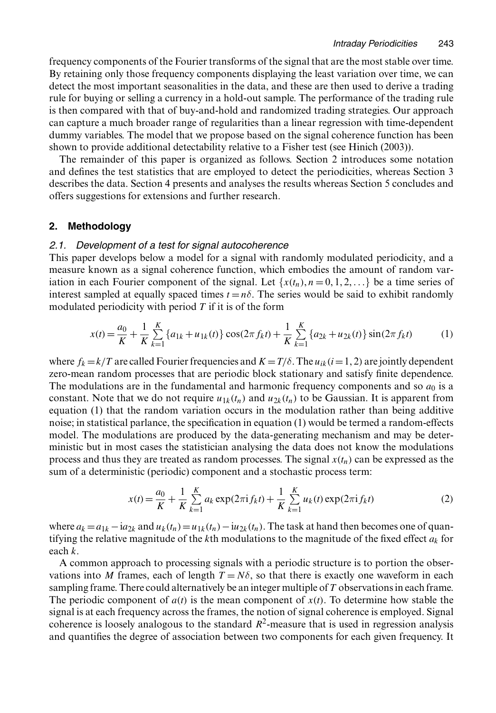frequency components of the Fourier transforms of the signal that are the most stable over time. By retaining only those frequency components displaying the least variation over time, we can detect the most important seasonalities in the data, and these are then used to derive a trading rule for buying or selling a currency in a hold-out sample. The performance of the trading rule is then compared with that of buy-and-hold and randomized trading strategies. Our approach can capture a much broader range of regularities than a linear regression with time-dependent dummy variables. The model that we propose based on the signal coherence function has been shown to provide additional detectability relative to a Fisher test (see Hinich (2003)).

The remainder of this paper is organized as follows. Section 2 introduces some notation and defines the test statistics that are employed to detect the periodicities, whereas Section 3 describes the data. Section 4 presents and analyses the results whereas Section 5 concludes and offers suggestions for extensions and further research.

## **2. Methodology**

#### *2.1. Development of a test for signal autocoherence*

This paper develops below a model for a signal with randomly modulated periodicity, and a measure known as a signal coherence function, which embodies the amount of random variation in each Fourier component of the signal. Let  ${x(t_n), n = 0, 1, 2, \ldots}$  be a time series of interest sampled at equally spaced times  $t = n\delta$ . The series would be said to exhibit randomly modulated periodicity with period  $T$  if it is of the form

$$
x(t) = \frac{a_0}{K} + \frac{1}{K} \sum_{k=1}^{K} \{a_{1k} + u_{1k}(t)\} \cos(2\pi f_k t) + \frac{1}{K} \sum_{k=1}^{K} \{a_{2k} + u_{2k}(t)\} \sin(2\pi f_k t)
$$
 (1)

where  $f_k = k/T$  are called Fourier frequencies and  $K = T/\delta$ . The  $u_{ik}(i=1, 2)$  are jointly dependent zero-mean random processes that are periodic block stationary and satisfy finite dependence. The modulations are in the fundamental and harmonic frequency components and so  $a_0$  is a constant. Note that we do not require  $u_{1k}(t_n)$  and  $u_{2k}(t_n)$  to be Gaussian. It is apparent from equation (1) that the random variation occurs in the modulation rather than being additive noise; in statistical parlance, the specification in equation (1) would be termed a random-effects model. The modulations are produced by the data-generating mechanism and may be deterministic but in most cases the statistician analysing the data does not know the modulations process and thus they are treated as random processes. The signal  $x(t_n)$  can be expressed as the sum of a deterministic (periodic) component and a stochastic process term:

$$
x(t) = \frac{a_0}{K} + \frac{1}{K} \sum_{k=1}^{K} a_k \exp(2\pi i f_k t) + \frac{1}{K} \sum_{k=1}^{K} u_k(t) \exp(2\pi i f_k t)
$$
 (2)

where  $a_k = a_{1k} - ia_{2k}$  and  $u_k(t_n) = u_{1k}(t_n) - iu_{2k}(t_n)$ . The task at hand then becomes one of quantifying the relative magnitude of the kth modulations to the magnitude of the fixed effect  $a_k$  for each k.

A common approach to processing signals with a periodic structure is to portion the observations into M frames, each of length  $T = N\delta$ , so that there is exactly one waveform in each sampling frame. There could alternatively be an integer multiple of T observations in each frame. The periodic component of  $a(t)$  is the mean component of  $x(t)$ . To determine how stable the signal is at each frequency across the frames, the notion of signal coherence is employed. Signal coherence is loosely analogous to the standard  $R^2$ -measure that is used in regression analysis and quantifies the degree of association between two components for each given frequency. It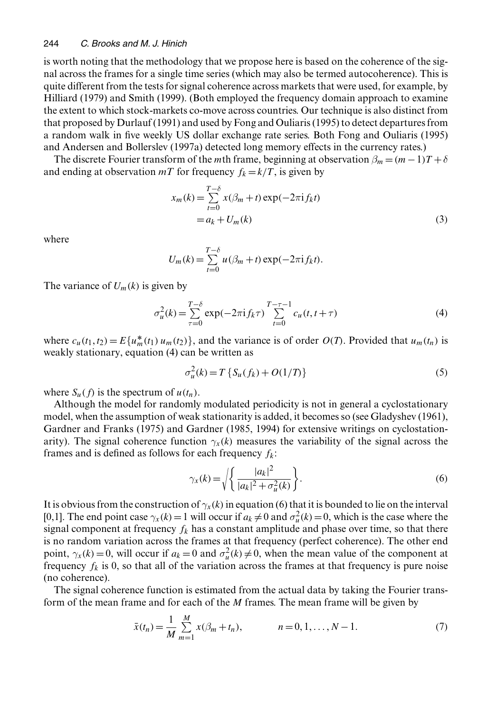is worth noting that the methodology that we propose here is based on the coherence of the signal across the frames for a single time series (which may also be termed autocoherence). This is quite different from the tests for signal coherence across markets that were used, for example, by Hilliard (1979) and Smith (1999). (Both employed the frequency domain approach to examine the extent to which stock-markets co-move across countries. Our technique is also distinct from that proposed by Durlauf (1991) and used by Fong and Ouliaris (1995) to detect departures from a random walk in five weekly US dollar exchange rate series. Both Fong and Ouliaris (1995) and Andersen and Bollerslev (1997a) detected long memory effects in the currency rates.)

The discrete Fourier transform of the mth frame, beginning at observation  $\beta_m = (m-1)T + \delta$ and ending at observation  $mT$  for frequency  $f_k = k/T$ , is given by

$$
x_m(k) = \sum_{t=0}^{T-\delta} x(\beta_m + t) \exp(-2\pi i f_k t)
$$
  
= a<sub>k</sub> + U<sub>m</sub>(k) (3)

where

$$
U_m(k) = \sum_{t=0}^{T-\delta} u(\beta_m + t) \exp(-2\pi \mathrm{i} f_k t).
$$

The variance of  $U_m(k)$  is given by

$$
\sigma_u^2(k) = \sum_{\tau=0}^{T-\delta} \exp(-2\pi i f_k \tau) \sum_{t=0}^{T-\tau-1} c_u(t, t+\tau)
$$
 (4)

where  $c_u(t_1, t_2) = E\{u_m^*(t_1) u_m(t_2)\}\,$  and the variance is of order  $O(T)$ . Provided that  $u_m(t_n)$  is weakly stationary, equation (4) can be written as

$$
\sigma_u^2(k) = T \{ S_u(f_k) + O(1/T) \}
$$
\n(5)

where  $S_u(f)$  is the spectrum of  $u(t_n)$ .

Although the model for randomly modulated periodicity is not in general a cyclostationary model, when the assumption of weak stationarity is added, it becomes so (see Gladyshev (1961), Gardner and Franks (1975) and Gardner (1985, 1994) for extensive writings on cyclostationarity). The signal coherence function  $\gamma_x(k)$  measures the variability of the signal across the frames and is defined as follows for each frequency  $f_k$ :

$$
\gamma_x(k) = \sqrt{\left\{ \frac{|a_k|^2}{|a_k|^2 + \sigma_u^2(k)} \right\}}.
$$
\n
$$
(6)
$$

It is obvious from the construction of  $\gamma_x(k)$  in equation (6) that it is bounded to lie on the interval [0,1]. The end point case  $\gamma_x(k) = 1$  will occur if  $a_k \neq 0$  and  $\sigma_u^2(k) = 0$ , which is the case where the signal component at frequency  $f_k$  has a constant amplitude and phase over time, so that there is no random variation across the frames at that frequency (perfect coherence). The other end point,  $\gamma_x(k) = 0$ , will occur if  $a_k = 0$  and  $\sigma_u^2(k) \neq 0$ , when the mean value of the component at frequency  $f_k$  is 0, so that all of the variation across the frames at that frequency is pure noise (no coherence).

The signal coherence function is estimated from the actual data by taking the Fourier transform of the mean frame and for each of the M frames. The mean frame will be given by

$$
\bar{x}(t_n) = \frac{1}{M} \sum_{m=1}^{M} x(\beta_m + t_n), \qquad n = 0, 1, \dots, N - 1.
$$
 (7)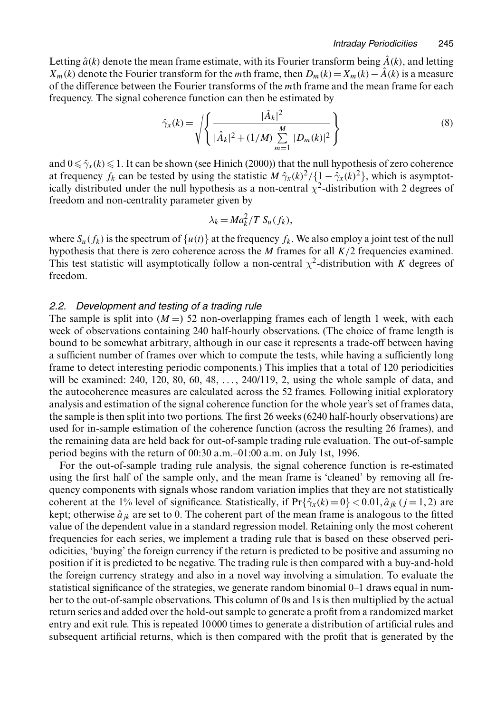Letting  $\hat{a}(k)$  denote the mean frame estimate, with its Fourier transform being  $\hat{A}(k)$ , and letting  $X_m(k)$  denote the Fourier transform for the mth frame, then  $D_m(k)=X_m(k)-A(k)$  is a measure of the difference between the Fourier transforms of the mth frame and the mean frame for each frequency. The signal coherence function can then be estimated by

$$
\hat{\gamma}_x(k) = \sqrt{\left\{ \frac{|\hat{A}_k|^2}{|\hat{A}_k|^2 + (1/M) \sum_{m=1}^M |D_m(k)|^2} \right\}}
$$
(8)

and  $0 \leq \hat{\gamma}_x(k) \leq 1$ . It can be shown (see Hinich (2000)) that the null hypothesis of zero coherence at frequency  $f_k$  can be tested by using the statistic  $M \hat{\gamma}_x(k)^2 / \{1-\hat{\gamma}_x(k)^2\}$ , which is asymptotically distributed under the null hypothesis as a non-central  $\chi^2$ -distribution with 2 degrees of freedom and non-centrality parameter given by

$$
\lambda_k = Ma_k^2/T \ S_u(f_k),
$$

where  $S_u(f_k)$  is the spectrum of  $\{u(t)\}\$  at the frequency  $f_k$ . We also employ a joint test of the null hypothesis that there is zero coherence across the M frames for all  $K/2$  frequencies examined. This test statistic will asymptotically follow a non-central  $\chi^2$ -distribution with K degrees of freedom.

## *2.2. Development and testing of a trading rule*

The sample is split into  $(M =) 52$  non-overlapping frames each of length 1 week, with each week of observations containing 240 half-hourly observations. (The choice of frame length is bound to be somewhat arbitrary, although in our case it represents a trade-off between having a sufficient number of frames over which to compute the tests, while having a sufficiently long frame to detect interesting periodic components.) This implies that a total of 120 periodicities will be examined: 240, 120, 80, 60, 48, ..., 240/119, 2, using the whole sample of data, and the autocoherence measures are calculated across the 52 frames. Following initial exploratory analysis and estimation of the signal coherence function for the whole year's set of frames data, the sample is then split into two portions. The first 26 weeks (6240 half-hourly observations) are used for in-sample estimation of the coherence function (across the resulting 26 frames), and the remaining data are held back for out-of-sample trading rule evaluation. The out-of-sample period begins with the return of 00:30 a.m.–01:00 a.m. on July 1st, 1996.

For the out-of-sample trading rule analysis, the signal coherence function is re-estimated using the first half of the sample only, and the mean frame is 'cleaned' by removing all frequency components with signals whose random variation implies that they are not statistically coherent at the 1% level of significance. Statistically, if  $Pr{\hat{\gamma}_x(k) = 0} < 0.01$ ,  $\hat{a}_{ik}$  ( $j = 1, 2$ ) are kept; otherwise  $\hat{a}_{ik}$  are set to 0. The coherent part of the mean frame is analogous to the fitted value of the dependent value in a standard regression model. Retaining only the most coherent frequencies for each series, we implement a trading rule that is based on these observed periodicities, 'buying' the foreign currency if the return is predicted to be positive and assuming no position if it is predicted to be negative. The trading rule is then compared with a buy-and-hold the foreign currency strategy and also in a novel way involving a simulation. To evaluate the statistical significance of the strategies, we generate random binomial 0–1 draws equal in number to the out-of-sample observations. This column of 0s and 1s is then multiplied by the actual return series and added over the hold-out sample to generate a profit from a randomized market entry and exit rule. This is repeated 10 000 times to generate a distribution of artificial rules and subsequent artificial returns, which is then compared with the profit that is generated by the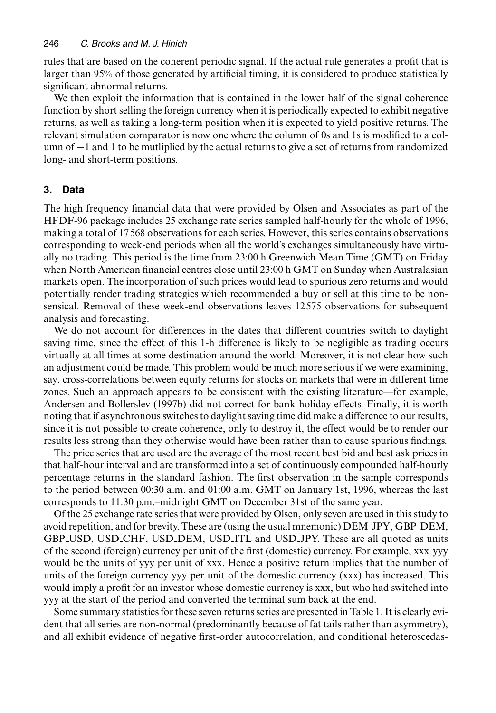rules that are based on the coherent periodic signal. If the actual rule generates a profit that is larger than 95% of those generated by artificial timing, it is considered to produce statistically significant abnormal returns.

We then exploit the information that is contained in the lower half of the signal coherence function by short selling the foreign currency when it is periodically expected to exhibit negative returns, as well as taking a long-term position when it is expected to yield positive returns. The relevant simulation comparator is now one where the column of 0s and 1s is modified to a column of −1 and 1 to be mutliplied by the actual returns to give a set of returns from randomized long- and short-term positions.

#### **3. Data**

The high frequency financial data that were provided by Olsen and Associates as part of the HFDF-96 package includes 25 exchange rate series sampled half-hourly for the whole of 1996, making a total of 17 568 observations for each series. However, this series contains observations corresponding to week-end periods when all the world's exchanges simultaneously have virtually no trading. This period is the time from 23:00 h Greenwich Mean Time (GMT) on Friday when North American financial centres close until 23:00 h GMT on Sunday when Australasian markets open. The incorporation of such prices would lead to spurious zero returns and would potentially render trading strategies which recommended a buy or sell at this time to be nonsensical. Removal of these week-end observations leaves 12 575 observations for subsequent analysis and forecasting.

We do not account for differences in the dates that different countries switch to daylight saving time, since the effect of this 1-h difference is likely to be negligible as trading occurs virtually at all times at some destination around the world. Moreover, it is not clear how such an adjustment could be made. This problem would be much more serious if we were examining, say, cross-correlations between equity returns for stocks on markets that were in different time zones. Such an approach appears to be consistent with the existing literature—for example, Andersen and Bollerslev (1997b) did not correct for bank-holiday effects. Finally, it is worth noting that if asynchronous switches to daylight saving time did make a difference to our results, since it is not possible to create coherence, only to destroy it, the effect would be to render our results less strong than they otherwise would have been rather than to cause spurious findings.

The price series that are used are the average of the most recent best bid and best ask prices in that half-hour interval and are transformed into a set of continuously compounded half-hourly percentage returns in the standard fashion. The first observation in the sample corresponds to the period between 00:30 a.m. and 01:00 a.m. GMT on January 1st, 1996, whereas the last corresponds to 11:30 p.m.–midnight GMT on December 31st of the same year.

Of the 25 exchange rate series that were provided by Olsen, only seven are used in this study to avoid repetition, and for brevity. These are (using the usual mnemonic) DEM JPY, GBP DEM, GBP USD, USD CHF, USD DEM, USD ITL and USD JPY. These are all quoted as units of the second (foreign) currency per unit of the first (domestic) currency. For example, xxx yyy would be the units of yyy per unit of xxx. Hence a positive return implies that the number of units of the foreign currency yyy per unit of the domestic currency (xxx) has increased. This would imply a profit for an investor whose domestic currency is xxx, but who had switched into yyy at the start of the period and converted the terminal sum back at the end.

Some summary statistics for these seven returns series are presented in Table 1. It is clearly evident that all series are non-normal (predominantly because of fat tails rather than asymmetry), and all exhibit evidence of negative first-order autocorrelation, and conditional heteroscedas-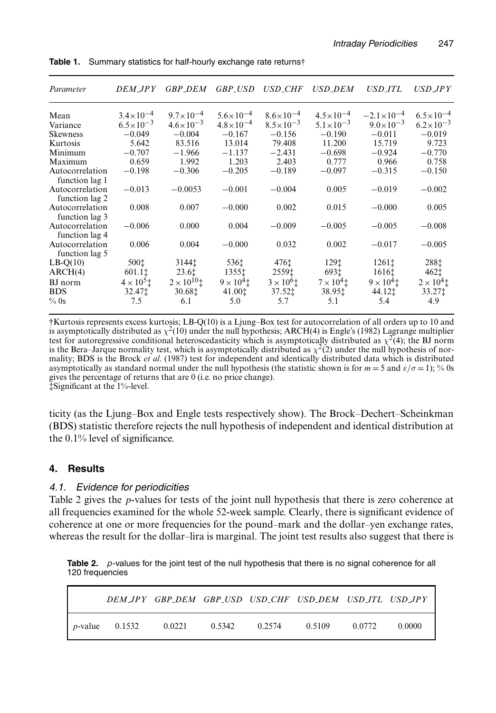| Parameter                                           | DEM_JPY                    | <i>GBP_DEM</i>                | GBP_USD                    | <i>USD_CHF</i>       | <i>USD_DEM</i>       | <i>USD_ITL</i>        | <i>USD_JPY</i>             |
|-----------------------------------------------------|----------------------------|-------------------------------|----------------------------|----------------------|----------------------|-----------------------|----------------------------|
| Mean                                                | $3.4 \times 10^{-4}$       | $9.7\times10^{-4}$            | $5.6 \times 10^{-4}$       | $8.6 \times 10^{-4}$ | $4.5 \times 10^{-4}$ | $-2.1 \times 10^{-4}$ | $6.5 \times 10^{-4}$       |
| Variance                                            | $6.5 \times 10^{-3}$       | $4.6 \times 10^{-3}$          | $4.8 \times 10^{-4}$       | $8.5 \times 10^{-3}$ | $5.1 \times 10^{-3}$ | $9.0\times10^{-3}$    | $6.2\times10^{-3}$         |
| <b>Skewness</b>                                     | $-0.049$                   | $-0.004$                      | $-0.167$                   | $-0.156$             | $-0.190$             | $-0.011$              | $-0.019$                   |
| Kurtosis                                            | 5.642                      | 83.516                        | 13.014                     | 79.408               | 11.200               | 15.719                | 9.723                      |
| Minimum                                             | $-0.707$                   | $-1.966$                      | $-1.137$                   | $-2.431$             | $-0.698$             | $-0.924$              | $-0.770$                   |
| Maximum                                             | 0.659                      | 1.992                         | 1.203                      | 2.403                | 0.777                | 0.966                 | 0.758                      |
| Autocorrelation                                     | $-0.198$                   | $-0.306$                      | $-0.205$                   | $-0.189$             | $-0.097$             | $-0.315$              | $-0.150$                   |
| function lag 1<br>Autocorrelation<br>function lag 2 | $-0.013$                   | $-0.0053$                     | $-0.001$                   | $-0.004$             | 0.005                | $-0.019$              | $-0.002$                   |
| Autocorrelation<br>function lag 3                   | 0.008                      | 0.007                         | $-0.000$                   | 0.002                | 0.015                | $-0.000$              | 0.005                      |
| Autocorrelation<br>function lag 4                   | $-0.006$                   | 0.000                         | 0.004                      | $-0.009$             | $-0.005$             | $-0.005$              | $-0.008$                   |
| Autocorrelation<br>function lag 5                   | 0.006                      | 0.004                         | $-0.000$                   | 0.032                | 0.002                | $-0.017$              | $-0.005$                   |
| $LB-Q(10)$                                          | 500t                       | 31441                         | 5361                       | 4761                 | 1291                 | 12611                 | 2881                       |
| ARCH(4)                                             | 601.1‡                     | 23.6‡                         | 13551                      | 2559‡                | 6931                 | 1616†                 | 462‡                       |
| BJ norm                                             | $4 \times 10^5$ $\ddagger$ | $2 \times 10^{10}$ $\ddagger$ | $9 \times 10^4$ $\ddagger$ | $3 \times 10^6$ ‡    | $7 \times 10^4$ ‡    | $9 \times 10^4$ ‡     | $2 \times 10^4$ $\ddagger$ |
| <b>BDS</b>                                          | 32.471                     | 30.681                        | 41.00                      | 37.521               | 38.95‡               | 44.121                | 33.271                     |
| $%$ 0s                                              | 7.5                        | 6.1                           | 5.0                        | 5.7                  | 5.1                  | 5.4                   | 4.9                        |

**Table 1.** Summary statistics for half-hourly exchange rate returns†

†Kurtosis represents excess kurtosis; LB-Q(10) is a Ljung–Box test for autocorrelation of all orders up to 10 and is asymptotically distributed as  $\chi^2(10)$  under the null hypothesis; ARCH(4) is Engle's (1982) Lagrange multiplier test for autoregressive conditional heteroscedasticity which is asymptotically distributed as  $\chi^2(4)$ ; the BJ norm is the Bera–Jarque normality test, which is asymptotically distributed as  $\chi^2(2)$  under the null hypothesis of normality; BDS is the Brock *et al*. (1987) test for independent and identically distributed data which is distributed asymptotically as standard normal under the null hypothesis (the statistic shown is for  $m=5$  and  $\varepsilon/\sigma=1$ ); % 0s gives the percentage of returns that are 0 (i.e. no price change).

‡Significant at the 1%-level.

ticity (as the Ljung–Box and Engle tests respectively show). The Brock–Dechert–Scheinkman (BDS) statistic therefore rejects the null hypothesis of independent and identical distribution at the 0.1% level of significance.

# **4. Results**

# *4.1. Evidence for periodicities*

Table 2 gives the *p*-values for tests of the joint null hypothesis that there is zero coherence at all frequencies examined for the whole 52-week sample. Clearly, there is significant evidence of coherence at one or more frequencies for the pound–mark and the dollar–yen exchange rates, whereas the result for the dollar–lira is marginal. The joint test results also suggest that there is

**Table 2.** *p*-values for the joint test of the null hypothesis that there is no signal coherence for all 120 frequencies

|                   |        |        |        | DEM JPY GBP_DEM GBP_USD USD_CHF USD_DEM USD_ITL USD_JPY |        |        |
|-------------------|--------|--------|--------|---------------------------------------------------------|--------|--------|
| $p$ -value 0.1532 | 0.0221 | 0.5342 | 0.2574 | 0.5109                                                  | 0.0772 | 0.0000 |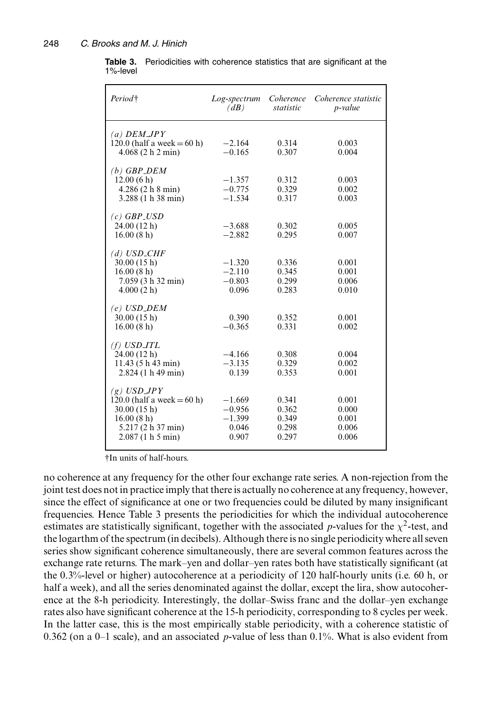| Period <sup>+</sup>                                                                                                  | Log-spectrum<br>(dB)                               | Coherence<br>statistic                    | Coherence statistic<br><i>p</i> -value    |
|----------------------------------------------------------------------------------------------------------------------|----------------------------------------------------|-------------------------------------------|-------------------------------------------|
| $(a)$ DEM_JPY<br>120.0 (half a week = $60$ h)<br>4.068(2 h 2 min)                                                    | $-2.164$<br>$-0.165$                               | 0.314<br>0.307                            | 0.003<br>0.004                            |
| $(b)$ GBP_DEM<br>12.00(6 h)<br>4.286(2 h 8 min)<br>3.288(1 h 38 min)                                                 | $-1.357$<br>$-0.775$<br>$-1.534$                   | 0.312<br>0.329<br>0.317                   | 0.003<br>0.002<br>0.003                   |
| $(c)$ GBP <sub>-USD</sub><br>24.00 (12 h)<br>16.00(8 h)                                                              | $-3.688$<br>$-2.882$                               | 0.302<br>0.295                            | 0.005<br>0.007                            |
| $(d)$ USD_CHF<br>30.00(15 h)<br>16.00(8 h)<br>7.059 (3 h 32 min)<br>4.000(2 h)                                       | $-1.320$<br>$-2.110$<br>$-0.803$<br>0.096          | 0.336<br>0.345<br>0.299<br>0.283          | 0.001<br>0.001<br>0.006<br>0.010          |
| $(e)$ USD_DEM<br>30.00(15 h)<br>16.00(8 h)                                                                           | 0.390<br>$-0.365$                                  | 0.352<br>0.331                            | 0.001<br>0.002                            |
| $(f)$ USD_ITL<br>24.00(12 h)<br>11.43(5 h 43 min)<br>2.824(1 h 49 min)                                               | $-4.166$<br>$-3.135$<br>0.139                      | 0.308<br>0.329<br>0.353                   | 0.004<br>0.002<br>0.001                   |
| $(g)$ USD_JPY<br>120.0 (half a week = $60$ h)<br>30.00(15 h)<br>16.00(8 h)<br>5.217(2 h 37 min)<br>2.087 (1 h 5 min) | $-1.669$<br>$-0.956$<br>$-1.399$<br>0.046<br>0.907 | 0.341<br>0.362<br>0.349<br>0.298<br>0.297 | 0.001<br>0.000<br>0.001<br>0.006<br>0.006 |

**Table 3.** Periodicities with coherence statistics that are significant at the 1%-level

†In units of half-hours.

no coherence at any frequency for the other four exchange rate series. A non-rejection from the joint test does not in practice imply that there is actually no coherence at any frequency, however, since the effect of significance at one or two frequencies could be diluted by many insignificant frequencies. Hence Table 3 presents the periodicities for which the individual autocoherence estimates are statistically significant, together with the associated p-values for the  $\chi^2$ -test, and the logarthm of the spectrum (in decibels). Although there is no single periodicity where all seven series show significant coherence simultaneously, there are several common features across the exchange rate returns. The mark–yen and dollar–yen rates both have statistically significant (at the 0.3%-level or higher) autocoherence at a periodicity of 120 half-hourly units (i.e. 60 h, or half a week), and all the series denominated against the dollar, except the lira, show autocoherence at the 8-h periodicity. Interestingly, the dollar–Swiss franc and the dollar–yen exchange rates also have significant coherence at the 15-h periodicity, corresponding to 8 cycles per week. In the latter case, this is the most empirically stable periodicity, with a coherence statistic of 0.362 (on a 0–1 scale), and an associated p-value of less than 0.1%. What is also evident from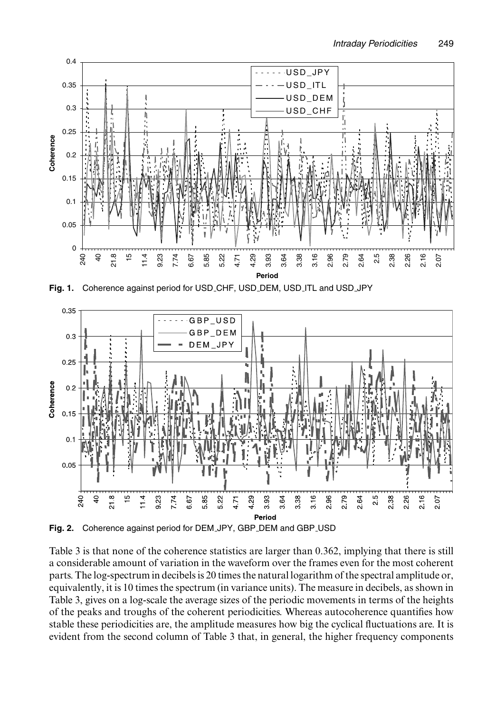

Fig. 1. Coherence against period for USD<sub>C</sub>HF, USD<sub>-</sub>DEM, USD<sub>-</sub>ITL and USD<sub>-J</sub>PY



Fig. 2. Coherence against period for DEM<sub>JPY</sub>, GBP<sub>-</sub>DEM and GBP<sub>-</sub>USD

Table 3 is that none of the coherence statistics are larger than 0.362, implying that there is still a considerable amount of variation in the waveform over the frames even for the most coherent parts. The log-spectrum in decibels is 20 times the natural logarithm of the spectral amplitude or, equivalently, it is 10 times the spectrum (in variance units). The measure in decibels, as shown in Table 3, gives on a log-scale the average sizes of the periodic movements in terms of the heights of the peaks and troughs of the coherent periodicities. Whereas autocoherence quantifies how stable these periodicities are, the amplitude measures how big the cyclical fluctuations are. It is evident from the second column of Table 3 that, in general, the higher frequency components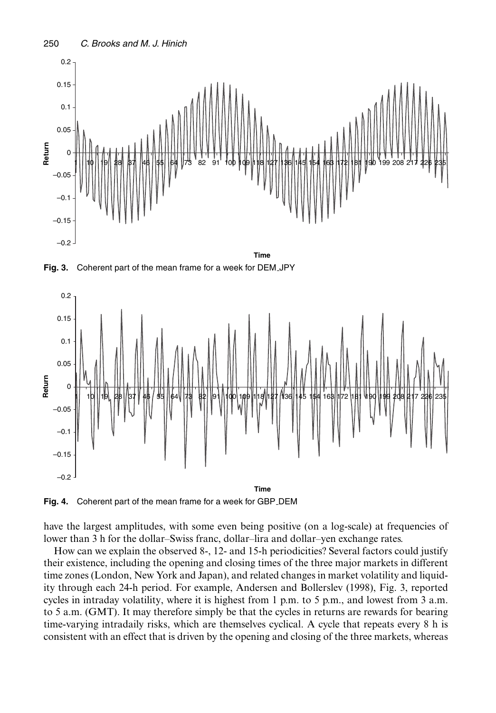

**Fig. 3.** Coherent part of the mean frame for a week for DEM JPY



Fig. 4. Coherent part of the mean frame for a week for GBP\_DEM

have the largest amplitudes, with some even being positive (on a log-scale) at frequencies of lower than 3 h for the dollar–Swiss franc, dollar–lira and dollar–yen exchange rates.

How can we explain the observed 8-, 12- and 15-h periodicities? Several factors could justify their existence, including the opening and closing times of the three major markets in different time zones (London, New York and Japan), and related changes in market volatility and liquidity through each 24-h period. For example, Andersen and Bollerslev (1998), Fig. 3, reported cycles in intraday volatility, where it is highest from 1 p.m. to 5 p.m., and lowest from 3 a.m. to 5 a.m. (GMT). It may therefore simply be that the cycles in returns are rewards for bearing time-varying intradaily risks, which are themselves cyclical. A cycle that repeats every 8 h is consistent with an effect that is driven by the opening and closing of the three markets, whereas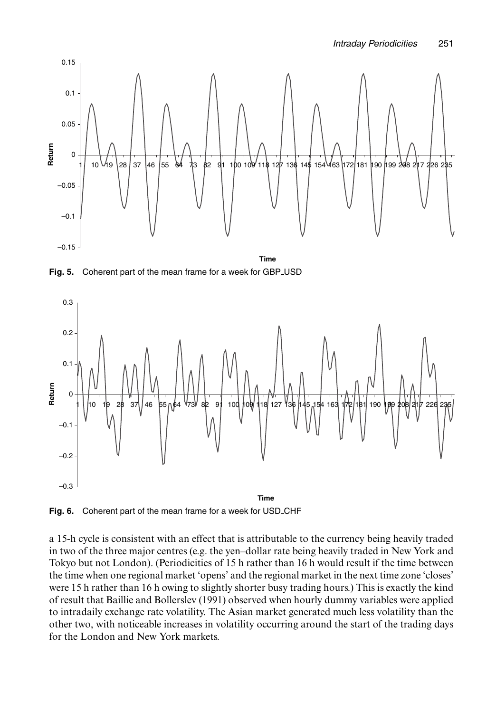

**Fig. 5.** Coherent part of the mean frame for a week for GBP USD



**Fig. 6.** Coherent part of the mean frame for a week for USD CHF

a 15-h cycle is consistent with an effect that is attributable to the currency being heavily traded in two of the three major centres (e.g. the yen–dollar rate being heavily traded in New York and Tokyo but not London). (Periodicities of 15 h rather than 16 h would result if the time between the time when one regional market 'opens' and the regional market in the next time zone 'closes' were 15 h rather than 16 h owing to slightly shorter busy trading hours.) This is exactly the kind of result that Baillie and Bollerslev (1991) observed when hourly dummy variables were applied to intradaily exchange rate volatility. The Asian market generated much less volatility than the other two, with noticeable increases in volatility occurring around the start of the trading days for the London and New York markets.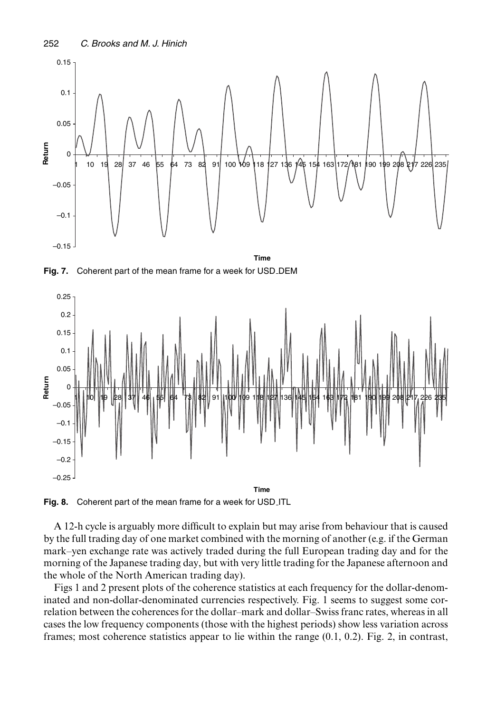

**Fig. 7.** Coherent part of the mean frame for a week for USD DEM



**Fig. 8.** Coherent part of the mean frame for a week for USD ITL

A 12-h cycle is arguably more difficult to explain but may arise from behaviour that is caused by the full trading day of one market combined with the morning of another (e.g. if the German mark–yen exchange rate was actively traded during the full European trading day and for the morning of the Japanese trading day, but with very little trading for the Japanese afternoon and the whole of the North American trading day).

Figs 1 and 2 present plots of the coherence statistics at each frequency for the dollar-denominated and non-dollar-denominated currencies respectively. Fig. 1 seems to suggest some correlation between the coherences for the dollar–mark and dollar–Swiss franc rates, whereas in all cases the low frequency components (those with the highest periods) show less variation across frames; most coherence statistics appear to lie within the range (0.1, 0.2). Fig. 2, in contrast,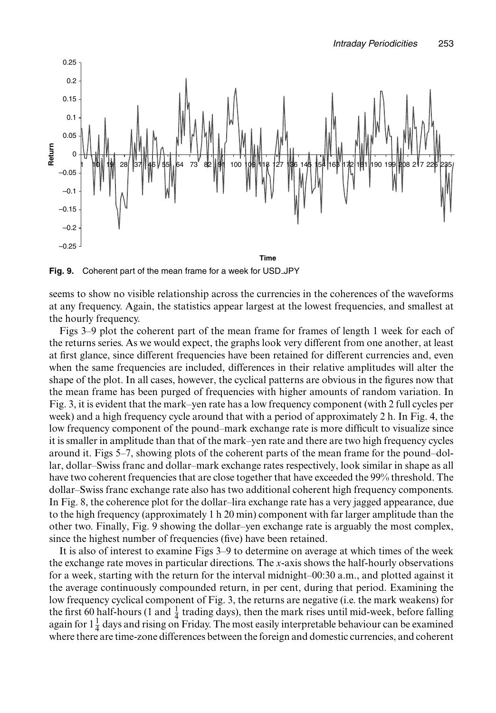

**Fig. 9.** Coherent part of the mean frame for a week for USD JPY

seems to show no visible relationship across the currencies in the coherences of the waveforms at any frequency. Again, the statistics appear largest at the lowest frequencies, and smallest at the hourly frequency.

Figs 3–9 plot the coherent part of the mean frame for frames of length 1 week for each of the returns series. As we would expect, the graphs look very different from one another, at least at first glance, since different frequencies have been retained for different currencies and, even when the same frequencies are included, differences in their relative amplitudes will alter the shape of the plot. In all cases, however, the cyclical patterns are obvious in the figures now that the mean frame has been purged of frequencies with higher amounts of random variation. In Fig. 3, it is evident that the mark–yen rate has a low frequency component (with 2 full cycles per week) and a high frequency cycle around that with a period of approximately 2 h. In Fig. 4, the low frequency component of the pound–mark exchange rate is more difficult to visualize since it is smaller in amplitude than that of the mark–yen rate and there are two high frequency cycles around it. Figs 5–7, showing plots of the coherent parts of the mean frame for the pound–dollar, dollar–Swiss franc and dollar–mark exchange rates respectively, look similar in shape as all have two coherent frequencies that are close together that have exceeded the 99% threshold. The dollar–Swiss franc exchange rate also has two additional coherent high frequency components. In Fig. 8, the coherence plot for the dollar–lira exchange rate has a very jagged appearance, due to the high frequency (approximately 1 h 20 min) component with far larger amplitude than the other two. Finally, Fig. 9 showing the dollar–yen exchange rate is arguably the most complex, since the highest number of frequencies (five) have been retained.

It is also of interest to examine Figs 3–9 to determine on average at which times of the week the exchange rate moves in particular directions. The x-axis shows the half-hourly observations for a week, starting with the return for the interval midnight–00:30 a.m., and plotted against it the average continuously compounded return, in per cent, during that period. Examining the low frequency cyclical component of Fig. 3, the returns are negative (i.e. the mark weakens) for the first 60 half-hours (1 and  $\frac{1}{4}$  trading days), then the mark rises until mid-week, before falling again for  $1\frac{1}{4}$  days and rising on Friday. The most easily interpretable behaviour can be examined where there are time-zone differences between the foreign and domestic currencies, and coherent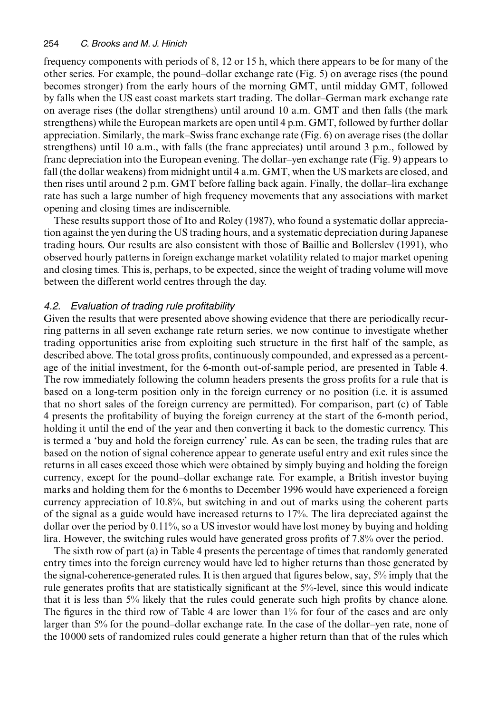frequency components with periods of 8, 12 or 15 h, which there appears to be for many of the other series. For example, the pound–dollar exchange rate (Fig. 5) on average rises (the pound becomes stronger) from the early hours of the morning GMT, until midday GMT, followed by falls when the US east coast markets start trading. The dollar–German mark exchange rate on average rises (the dollar strengthens) until around 10 a.m. GMT and then falls (the mark strengthens) while the European markets are open until 4 p.m. GMT, followed by further dollar appreciation. Similarly, the mark–Swiss franc exchange rate (Fig. 6) on average rises (the dollar strengthens) until 10 a.m., with falls (the franc appreciates) until around 3 p.m., followed by franc depreciation into the European evening. The dollar–yen exchange rate (Fig. 9) appears to fall (the dollar weakens) from midnight until 4 a.m. GMT, when the US markets are closed, and then rises until around 2 p.m. GMT before falling back again. Finally, the dollar–lira exchange rate has such a large number of high frequency movements that any associations with market opening and closing times are indiscernible.

These results support those of Ito and Roley (1987), who found a systematic dollar appreciation against the yen during the US trading hours, and a systematic depreciation during Japanese trading hours. Our results are also consistent with those of Baillie and Bollerslev (1991), who observed hourly patterns in foreign exchange market volatility related to major market opening and closing times. This is, perhaps, to be expected, since the weight of trading volume will move between the different world centres through the day.

# *4.2. Evaluation of trading rule profitability*

Given the results that were presented above showing evidence that there are periodically recurring patterns in all seven exchange rate return series, we now continue to investigate whether trading opportunities arise from exploiting such structure in the first half of the sample, as described above. The total gross profits, continuously compounded, and expressed as a percentage of the initial investment, for the 6-month out-of-sample period, are presented in Table 4. The row immediately following the column headers presents the gross profits for a rule that is based on a long-term position only in the foreign currency or no position (i.e. it is assumed that no short sales of the foreign currency are permitted). For comparison, part (c) of Table 4 presents the profitability of buying the foreign currency at the start of the 6-month period, holding it until the end of the year and then converting it back to the domestic currency. This is termed a 'buy and hold the foreign currency' rule. As can be seen, the trading rules that are based on the notion of signal coherence appear to generate useful entry and exit rules since the returns in all cases exceed those which were obtained by simply buying and holding the foreign currency, except for the pound–dollar exchange rate. For example, a British investor buying marks and holding them for the 6 months to December 1996 would have experienced a foreign currency appreciation of 10.8%, but switching in and out of marks using the coherent parts of the signal as a guide would have increased returns to 17%. The lira depreciated against the dollar over the period by 0.11%, so a US investor would have lost money by buying and holding lira. However, the switching rules would have generated gross profits of 7.8% over the period.

The sixth row of part (a) in Table 4 presents the percentage of times that randomly generated entry times into the foreign currency would have led to higher returns than those generated by the signal-coherence-generated rules. It is then argued that figures below, say, 5% imply that the rule generates profits that are statistically significant at the 5%-level, since this would indicate that it is less than 5% likely that the rules could generate such high profits by chance alone. The figures in the third row of Table 4 are lower than 1% for four of the cases and are only larger than 5% for the pound–dollar exchange rate. In the case of the dollar–yen rate, none of the 10 000 sets of randomized rules could generate a higher return than that of the rules which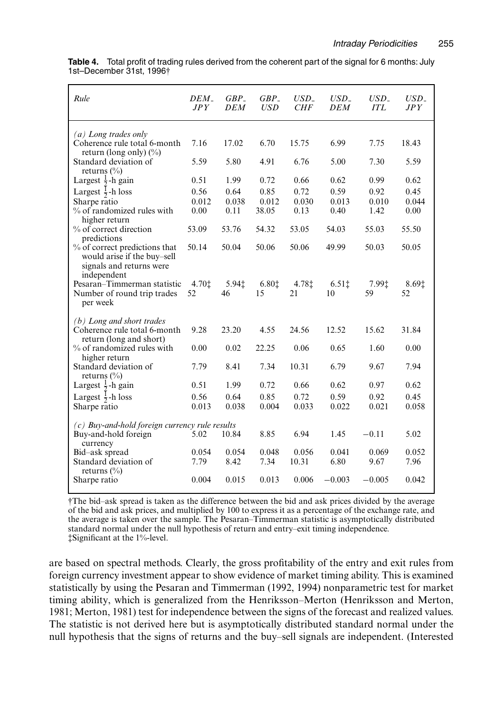| Rule                                                                                                    | DEM_<br>JPY | GBP<br><b>DEM</b> | $GBP_{-}$<br><b>USD</b> | USD <sub>-</sub><br>CHF | USD_<br><b>DEM</b> | USD_<br><b>ITL</b> | USD.<br>JPY |  |
|---------------------------------------------------------------------------------------------------------|-------------|-------------------|-------------------------|-------------------------|--------------------|--------------------|-------------|--|
| $(a)$ Long trades only                                                                                  |             |                   |                         |                         |                    |                    |             |  |
| Coherence rule total 6-month<br>return (long only) $(\%)$                                               | 7.16        | 17.02             | 6.70                    | 15.75                   | 6.99               | 7.75               | 18.43       |  |
| Standard deviation of<br>returns $(\% )$                                                                | 5.59        | 5.80              | 4.91                    | 6.76                    | 5.00               | 7.30               | 5.59        |  |
| Largest $\frac{1}{2}$ -h gain                                                                           | 0.51        | 1.99              | 0.72                    | 0.66                    | 0.62               | 0.99               | 0.62        |  |
| Largest $\frac{1}{2}$ -h loss                                                                           | 0.56        | 0.64              | 0.85                    | 0.72                    | 0.59               | 0.92               | 0.45        |  |
| Sharpe ratio                                                                                            | 0.012       | 0.038             | 0.012                   | 0.030                   | 0.013              | 0.010              | 0.044       |  |
| % of randomized rules with<br>higher return                                                             | 0.00        | 0.11              | 38.05                   | 0.13                    | 0.40               | 1.42               | 0.00        |  |
| % of correct direction<br>predictions                                                                   | 53.09       | 53.76             | 54.32                   | 53.05                   | 54.03              | 55.03              | 55.50       |  |
| % of correct predictions that<br>would arise if the buy-sell<br>signals and returns were<br>independent | 50.14       | 50.04             | 50.06                   | 50.06                   | 49.99              | 50.03              | 50.05       |  |
| Pesaran-Timmerman statistic                                                                             | 4.701       | 5.941             | 6.80‡                   | 4.781                   | 6.51               | 7.99‡              | 8.69‡       |  |
| Number of round trip trades<br>per week                                                                 | 52          | 46                | 15                      | 21                      | 10                 | 59                 | 52          |  |
| $(b)$ Long and short trades                                                                             |             |                   |                         |                         |                    |                    |             |  |
| Coherence rule total 6-month<br>return (long and short)                                                 | 9.28        | 23.20             | 4.55                    | 24.56                   | 12.52              | 15.62              | 31.84       |  |
| % of randomized rules with<br>higher return                                                             | 0.00        | 0.02              | 22.25                   | 0.06                    | 0.65               | 1.60               | 0.00        |  |
| Standard deviation of<br>returns $(\%$                                                                  | 7.79        | 8.41              | 7.34                    | 10.31                   | 6.79               | 9.67               | 7.94        |  |
| Largest $\frac{1}{2}$ -h gain                                                                           | 0.51        | 1.99              | 0.72                    | 0.66                    | 0.62               | 0.97               | 0.62        |  |
| Largest $\frac{1}{2}$ -h loss                                                                           | 0.56        | 0.64              | 0.85                    | 0.72                    | 0.59               | 0.92               | 0.45        |  |
| Sharpe ratio                                                                                            | 0.013       | 0.038             | 0.004                   | 0.033                   | 0.022              | 0.021              | 0.058       |  |
| $(c)$ Buy-and-hold foreign currency rule results                                                        |             |                   |                         |                         |                    |                    |             |  |
| Buy-and-hold foreign<br>currency                                                                        | 5.02        | 10.84             | 8.85                    | 6.94                    | 1.45               | $-0.11$            | 5.02        |  |
| Bid-ask spread                                                                                          | 0.054       | 0.054             | 0.048                   | 0.056                   | 0.041              | 0.069              | 0.052       |  |
| Standard deviation of<br>returns $(\% )$                                                                | 7.79        | 8.42              | 7.34                    | 10.31                   | 6.80               | 9.67               | 7.96        |  |
| Sharpe ratio                                                                                            | 0.004       | 0.015             | 0.013                   | 0.006                   | $-0.003$           | $-0.005$           | 0.042       |  |

**Table 4.** Total profit of trading rules derived from the coherent part of the signal for 6 months: July 1st–December 31st, 1996†

†The bid–ask spread is taken as the difference between the bid and ask prices divided by the average of the bid and ask prices, and multiplied by 100 to express it as a percentage of the exchange rate, and the average is taken over the sample. The Pesaran–Timmerman statistic is asymptotically distributed standard normal under the null hypothesis of return and entry–exit timing independence. ‡Significant at the 1%-level.

are based on spectral methods. Clearly, the gross profitability of the entry and exit rules from foreign currency investment appear to show evidence of market timing ability. This is examined statistically by using the Pesaran and Timmerman (1992, 1994) nonparametric test for market timing ability, which is generalized from the Henriksson–Merton (Henriksson and Merton, 1981; Merton, 1981) test for independence between the signs of the forecast and realized values. The statistic is not derived here but is asymptotically distributed standard normal under the null hypothesis that the signs of returns and the buy–sell signals are independent. (Interested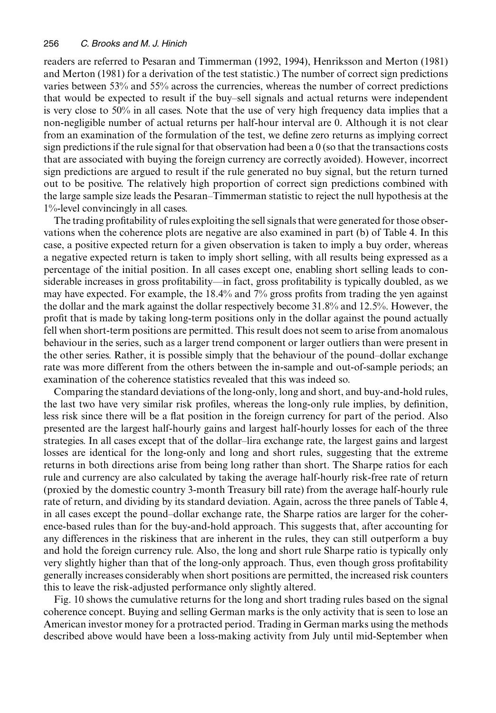readers are referred to Pesaran and Timmerman (1992, 1994), Henriksson and Merton (1981) and Merton (1981) for a derivation of the test statistic.) The number of correct sign predictions varies between 53% and 55% across the currencies, whereas the number of correct predictions that would be expected to result if the buy–sell signals and actual returns were independent is very close to 50% in all cases. Note that the use of very high frequency data implies that a non-negligible number of actual returns per half-hour interval are 0. Although it is not clear from an examination of the formulation of the test, we define zero returns as implying correct sign predictions if the rule signal for that observation had been a 0 (so that the transactions costs that are associated with buying the foreign currency are correctly avoided). However, incorrect sign predictions are argued to result if the rule generated no buy signal, but the return turned out to be positive. The relatively high proportion of correct sign predictions combined with the large sample size leads the Pesaran–Timmerman statistic to reject the null hypothesis at the 1%-level convincingly in all cases.

The trading profitability of rules exploiting the sell signals that were generated for those observations when the coherence plots are negative are also examined in part (b) of Table 4. In this case, a positive expected return for a given observation is taken to imply a buy order, whereas a negative expected return is taken to imply short selling, with all results being expressed as a percentage of the initial position. In all cases except one, enabling short selling leads to considerable increases in gross profitability—in fact, gross profitability is typically doubled, as we may have expected. For example, the 18.4% and 7% gross profits from trading the yen against the dollar and the mark against the dollar respectively become 31.8% and 12.5%. However, the profit that is made by taking long-term positions only in the dollar against the pound actually fell when short-term positions are permitted. This result does not seem to arise from anomalous behaviour in the series, such as a larger trend component or larger outliers than were present in the other series. Rather, it is possible simply that the behaviour of the pound–dollar exchange rate was more different from the others between the in-sample and out-of-sample periods; an examination of the coherence statistics revealed that this was indeed so.

Comparing the standard deviations of the long-only, long and short, and buy-and-hold rules, the last two have very similar risk profiles, whereas the long-only rule implies, by definition, less risk since there will be a flat position in the foreign currency for part of the period. Also presented are the largest half-hourly gains and largest half-hourly losses for each of the three strategies. In all cases except that of the dollar–lira exchange rate, the largest gains and largest losses are identical for the long-only and long and short rules, suggesting that the extreme returns in both directions arise from being long rather than short. The Sharpe ratios for each rule and currency are also calculated by taking the average half-hourly risk-free rate of return (proxied by the domestic country 3-month Treasury bill rate) from the average half-hourly rule rate of return, and dividing by its standard deviation. Again, across the three panels of Table 4, in all cases except the pound–dollar exchange rate, the Sharpe ratios are larger for the coherence-based rules than for the buy-and-hold approach. This suggests that, after accounting for any differences in the riskiness that are inherent in the rules, they can still outperform a buy and hold the foreign currency rule. Also, the long and short rule Sharpe ratio is typically only very slightly higher than that of the long-only approach. Thus, even though gross profitability generally increases considerably when short positions are permitted, the increased risk counters this to leave the risk-adjusted performance only slightly altered.

Fig. 10 shows the cumulative returns for the long and short trading rules based on the signal coherence concept. Buying and selling German marks is the only activity that is seen to lose an American investor money for a protracted period. Trading in German marks using the methods described above would have been a loss-making activity from July until mid-September when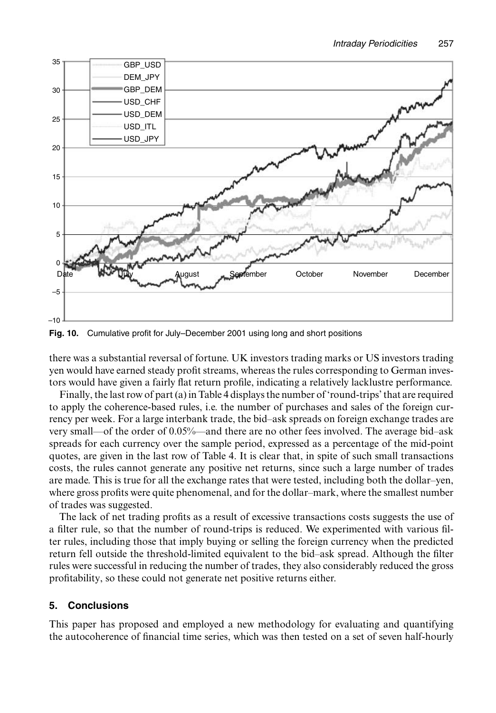

**Fig. 10.** Cumulative profit for July–December 2001 using long and short positions

there was a substantial reversal of fortune. UK investors trading marks or US investors trading yen would have earned steady profit streams, whereas the rules corresponding to German investors would have given a fairly flat return profile, indicating a relatively lacklustre performance.

Finally, the last row of part (a) in Table 4 displays the number of 'round-trips' that are required to apply the coherence-based rules, i.e. the number of purchases and sales of the foreign currency per week. For a large interbank trade, the bid–ask spreads on foreign exchange trades are very small—of the order of 0.05%—and there are no other fees involved. The average bid–ask spreads for each currency over the sample period, expressed as a percentage of the mid-point quotes, are given in the last row of Table 4. It is clear that, in spite of such small transactions costs, the rules cannot generate any positive net returns, since such a large number of trades are made. This is true for all the exchange rates that were tested, including both the dollar–yen, where gross profits were quite phenomenal, and for the dollar–mark, where the smallest number of trades was suggested.

The lack of net trading profits as a result of excessive transactions costs suggests the use of a filter rule, so that the number of round-trips is reduced. We experimented with various filter rules, including those that imply buying or selling the foreign currency when the predicted return fell outside the threshold-limited equivalent to the bid–ask spread. Although the filter rules were successful in reducing the number of trades, they also considerably reduced the gross profitability, so these could not generate net positive returns either.

#### **5. Conclusions**

This paper has proposed and employed a new methodology for evaluating and quantifying the autocoherence of financial time series, which was then tested on a set of seven half-hourly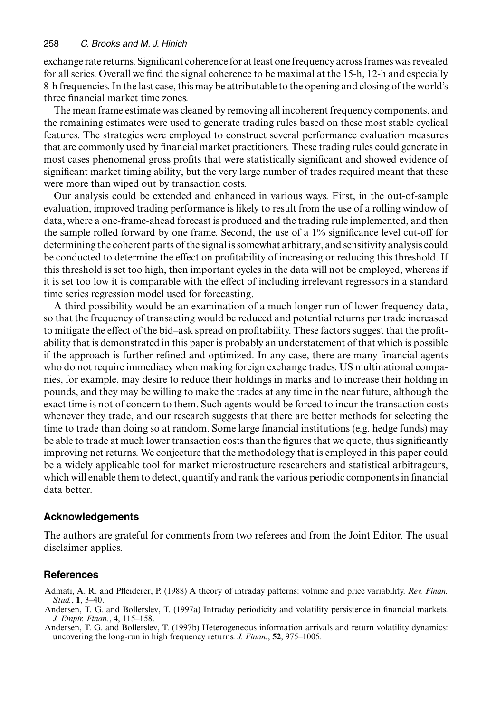exchange rate returns. Significant coherence for at least one frequency across frames was revealed for all series. Overall we find the signal coherence to be maximal at the 15-h, 12-h and especially 8-h frequencies. In the last case, this may be attributable to the opening and closing of the world's three financial market time zones.

The mean frame estimate was cleaned by removing all incoherent frequency components, and the remaining estimates were used to generate trading rules based on these most stable cyclical features. The strategies were employed to construct several performance evaluation measures that are commonly used by financial market practitioners. These trading rules could generate in most cases phenomenal gross profits that were statistically significant and showed evidence of significant market timing ability, but the very large number of trades required meant that these were more than wiped out by transaction costs.

Our analysis could be extended and enhanced in various ways. First, in the out-of-sample evaluation, improved trading performance is likely to result from the use of a rolling window of data, where a one-frame-ahead forecast is produced and the trading rule implemented, and then the sample rolled forward by one frame. Second, the use of a 1% significance level cut-off for determining the coherent parts of the signal is somewhat arbitrary, and sensitivity analysis could be conducted to determine the effect on profitability of increasing or reducing this threshold. If this threshold is set too high, then important cycles in the data will not be employed, whereas if it is set too low it is comparable with the effect of including irrelevant regressors in a standard time series regression model used for forecasting.

A third possibility would be an examination of a much longer run of lower frequency data, so that the frequency of transacting would be reduced and potential returns per trade increased to mitigate the effect of the bid–ask spread on profitability. These factors suggest that the profitability that is demonstrated in this paper is probably an understatement of that which is possible if the approach is further refined and optimized. In any case, there are many financial agents who do not require immediacy when making foreign exchange trades. US multinational companies, for example, may desire to reduce their holdings in marks and to increase their holding in pounds, and they may be willing to make the trades at any time in the near future, although the exact time is not of concern to them. Such agents would be forced to incur the transaction costs whenever they trade, and our research suggests that there are better methods for selecting the time to trade than doing so at random. Some large financial institutions (e.g. hedge funds) may be able to trade at much lower transaction costs than the figures that we quote, thus significantly improving net returns. We conjecture that the methodology that is employed in this paper could be a widely applicable tool for market microstructure researchers and statistical arbitrageurs, which will enable them to detect, quantify and rank the various periodic components in financial data better.

# **Acknowledgements**

The authors are grateful for comments from two referees and from the Joint Editor. The usual disclaimer applies.

# **References**

Admati, A. R. and Pfleiderer, P. (1988) A theory of intraday patterns: volume and price variability. *Rev. Finan. Stud.*, **1**, 3–40.

Andersen, T. G. and Bollerslev, T. (1997a) Intraday periodicity and volatility persistence in financial markets. *J. Empir. Finan.*, **4**, 115–158.

Andersen, T. G. and Bollerslev, T. (1997b) Heterogeneous information arrivals and return volatility dynamics: uncovering the long-run in high frequency returns. *J. Finan.*, **52**, 975–1005.